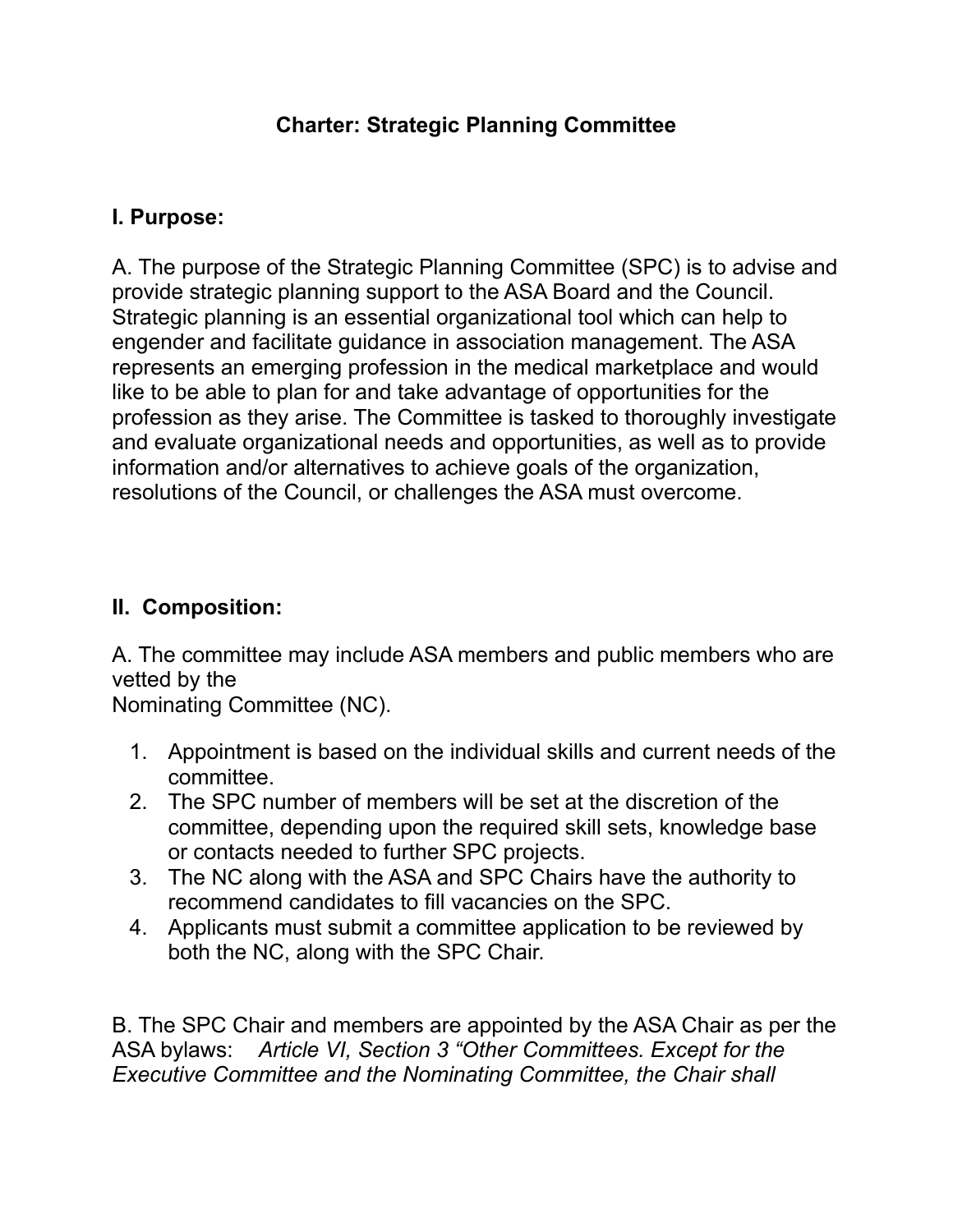#### **Charter: Strategic Planning Committee**

#### **I. Purpose:**

A. The purpose of the Strategic Planning Committee (SPC) is to advise and provide strategic planning support to the ASA Board and the Council. Strategic planning is an essential organizational tool which can help to engender and facilitate guidance in association management. The ASA represents an emerging profession in the medical marketplace and would like to be able to plan for and take advantage of opportunities for the profession as they arise. The Committee is tasked to thoroughly investigate and evaluate organizational needs and opportunities, as well as to provide information and/or alternatives to achieve goals of the organization, resolutions of the Council, or challenges the ASA must overcome.

#### **II. Composition:**

A. The committee may include ASA members and public members who are vetted by the

Nominating Committee (NC).

- 1. Appointment is based on the individual skills and current needs of the committee.
- 2. The SPC number of members will be set at the discretion of the committee, depending upon the required skill sets, knowledge base or contacts needed to further SPC projects.
- 3. The NC along with the ASA and SPC Chairs have the authority to recommend candidates to fill vacancies on the SPC.
- 4. Applicants must submit a committee application to be reviewed by both the NC, along with the SPC Chair.

B. The SPC Chair and members are appointed by the ASA Chair as per the ASA bylaws: *Article VI, Section 3 "Other Committees. Except for the Executive Committee and the Nominating Committee, the Chair shall*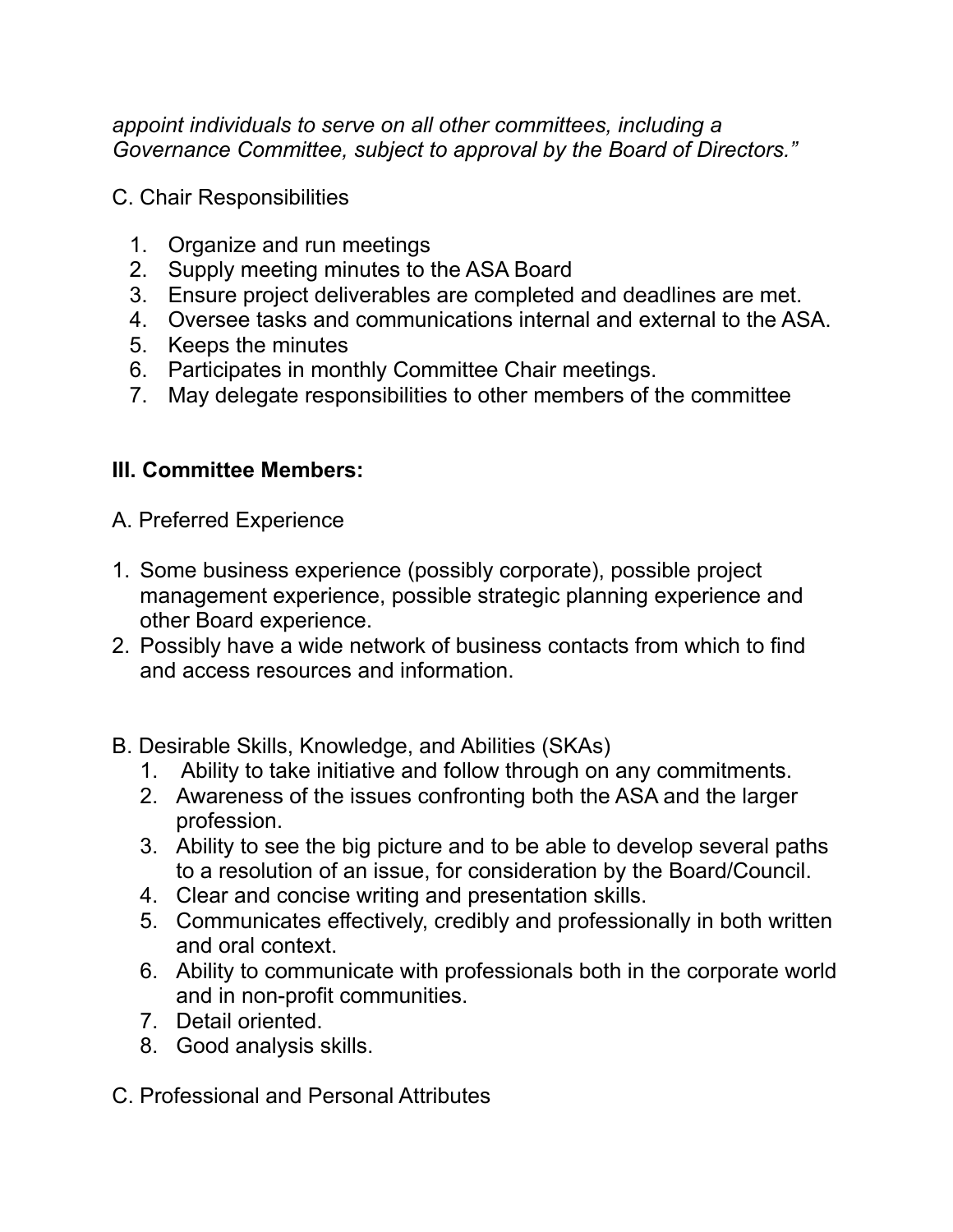*appoint individuals to serve on all other committees, including a Governance Committee, subject to approval by the Board of Directors."*

C. Chair Responsibilities

- 1. Organize and run meetings
- 2. Supply meeting minutes to the ASA Board
- 3. Ensure project deliverables are completed and deadlines are met.
- 4. Oversee tasks and communications internal and external to the ASA.
- 5. Keeps the minutes
- 6. Participates in monthly Committee Chair meetings.
- 7. May delegate responsibilities to other members of the committee

## **III. Committee Members:**

- A. Preferred Experience
- 1. Some business experience (possibly corporate), possible project management experience, possible strategic planning experience and other Board experience.
- 2. Possibly have a wide network of business contacts from which to find and access resources and information.
- B. Desirable Skills, Knowledge, and Abilities (SKAs)
	- 1. Ability to take initiative and follow through on any commitments.
	- 2. Awareness of the issues confronting both the ASA and the larger profession.
	- 3. Ability to see the big picture and to be able to develop several paths to a resolution of an issue, for consideration by the Board/Council.
	- 4. Clear and concise writing and presentation skills.
	- 5. Communicates effectively, credibly and professionally in both written and oral context.
	- 6. Ability to communicate with professionals both in the corporate world and in non-profit communities.
	- 7. Detail oriented.
	- 8. Good analysis skills.
- C. Professional and Personal Attributes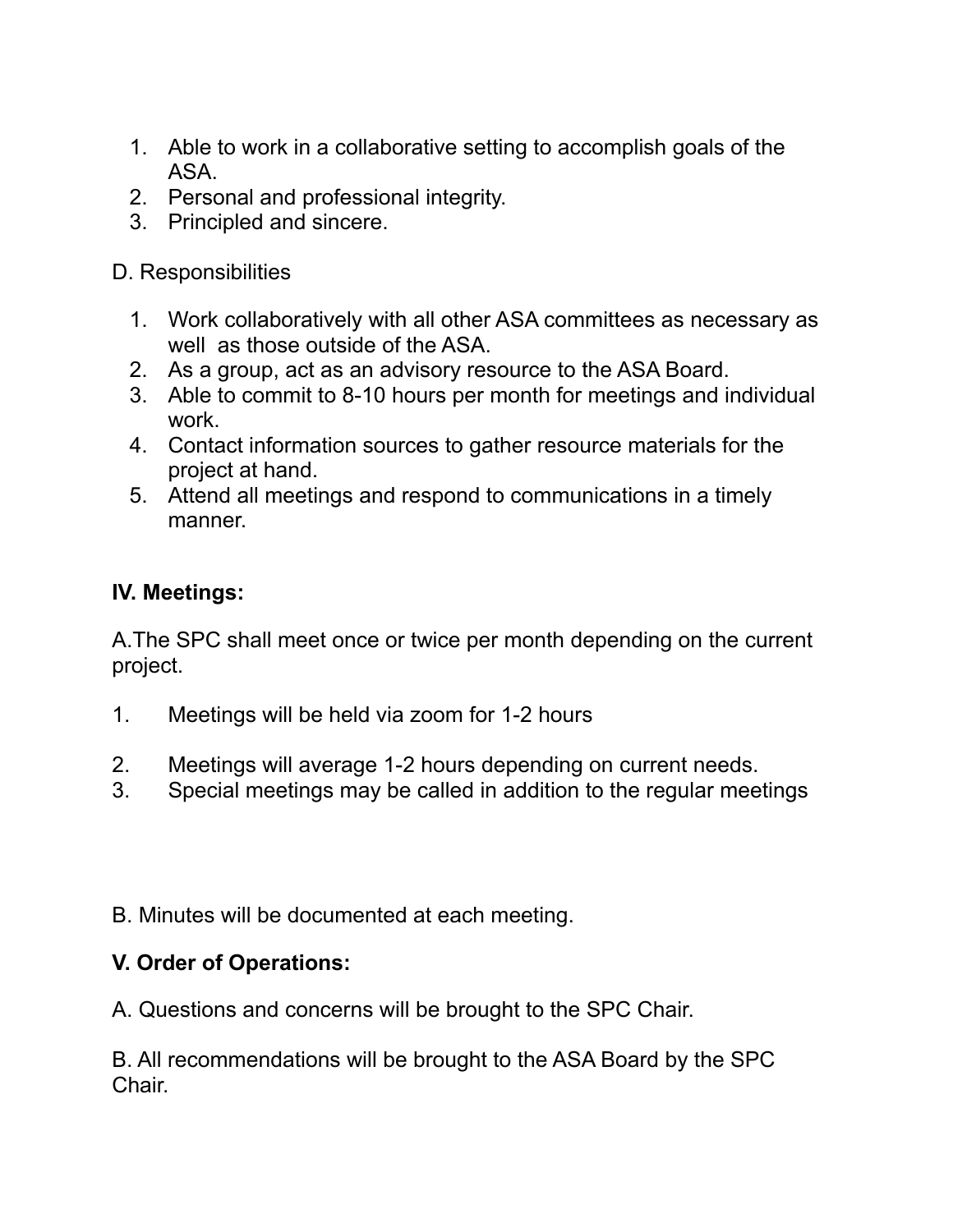- 1. Able to work in a collaborative setting to accomplish goals of the ASA.
- 2. Personal and professional integrity.
- 3. Principled and sincere.

D. Responsibilities

- 1. Work collaboratively with all other ASA committees as necessary as well as those outside of the ASA.
- 2. As a group, act as an advisory resource to the ASA Board.
- 3. Able to commit to 8-10 hours per month for meetings and individual work.
- 4. Contact information sources to gather resource materials for the project at hand.
- 5. Attend all meetings and respond to communications in a timely manner.

## **IV. Meetings:**

A.The SPC shall meet once or twice per month depending on the current project.

- 1. Meetings will be held via zoom for 1-2 hours
- 2. Meetings will average 1-2 hours depending on current needs.
- 3. Special meetings may be called in addition to the regular meetings
- B. Minutes will be documented at each meeting.

## **V. Order of Operations:**

A. Questions and concerns will be brought to the SPC Chair.

B. All recommendations will be brought to the ASA Board by the SPC Chair.